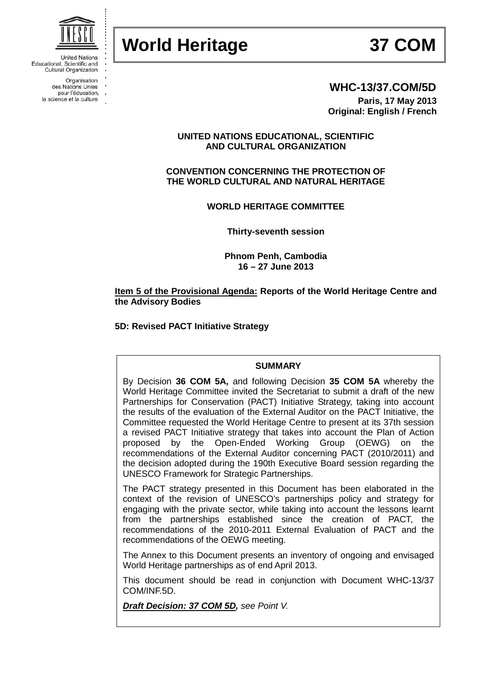# **World Heritage 37 COM**



**United Nations** Educational, Scientific and Cultural Organization

> Organisation des Nations Unies pour l'éducation,

la science et la culture



# **WHC-13/37.COM/5D**

**Paris, 17 May 2013 Original: English / French**

# **UNITED NATIONS EDUCATIONAL, SCIENTIFIC AND CULTURAL ORGANIZATION**

**CONVENTION CONCERNING THE PROTECTION OF THE WORLD CULTURAL AND NATURAL HERITAGE**

**WORLD HERITAGE COMMITTEE**

**Thirty-seventh session**

**Phnom Penh, Cambodia 16 – 27 June 2013**

## **Item 5 of the Provisional Agenda: Reports of the World Heritage Centre and the Advisory Bodies**

**5D: Revised PACT Initiative Strategy**

# **SUMMARY**

By Decision **36 COM 5A,** and following Decision **35 COM 5A** whereby the World Heritage Committee invited the Secretariat to submit a draft of the new Partnerships for Conservation (PACT) Initiative Strategy, taking into account the results of the evaluation of the External Auditor on the PACT Initiative, the Committee requested the World Heritage Centre to present at its 37th session a revised PACT Initiative strategy that takes into account the Plan of Action<br>proposed by the Open-Ended Working Group (OEWG) on the proposed by the Open-Ended Working Group (OEWG) on the recommendations of the External Auditor concerning PACT (2010/2011) and the decision adopted during the 190th Executive Board session regarding the UNESCO Framework for Strategic Partnerships.

The PACT strategy presented in this Document has been elaborated in the context of the revision of UNESCO's partnerships policy and strategy for engaging with the private sector, while taking into account the lessons learnt from the partnerships established since the creation of PACT, the recommendations of the 2010-2011 External Evaluation of PACT and the recommendations of the OEWG meeting.

The Annex to this Document presents an inventory of ongoing and envisaged World Heritage partnerships as of end April 2013.

This document should be read in conjunction with Document WHC-13/37 COM/INF.5D.

*Draft Decision: 37 COM 5D, see Point V.*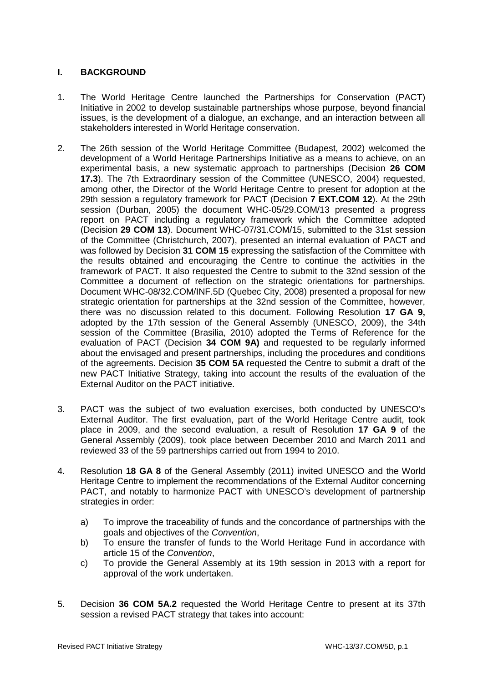# **I. BACKGROUND**

- 1. The World Heritage Centre launched the Partnerships for Conservation (PACT) Initiative in 2002 to develop sustainable partnerships whose purpose, beyond financial issues, is the development of a dialogue, an exchange, and an interaction between all stakeholders interested in World Heritage conservation.
- 2. The 26th session of the World Heritage Committee (Budapest, 2002) welcomed the development of a World Heritage Partnerships Initiative as a means to achieve, on an experimental basis, a new systematic approach to partnerships (Decision **26 COM 17.3**). The 7th Extraordinary session of the Committee (UNESCO, 2004) requested, among other, the Director of the World Heritage Centre to present for adoption at the 29th session a regulatory framework for PACT (Decision **7 EXT.COM 12**). At the 29th session (Durban, 2005) the document WHC-05/29.COM/13 presented a progress report on PACT including a regulatory framework which the Committee adopted (Decision **29 COM 13**). Document WHC-07/31.COM/15, submitted to the 31st session of the Committee (Christchurch, 2007), presented an internal evaluation of PACT and was followed by Decision **31 COM 15** expressing the satisfaction of the Committee with the results obtained and encouraging the Centre to continue the activities in the framework of PACT. It also requested the Centre to submit to the 32nd session of the Committee a document of reflection on the strategic orientations for partnerships. Document WHC-08/32.COM/INF.5D (Quebec City, 2008) presented a proposal for new strategic orientation for partnerships at the 32nd session of the Committee, however, there was no discussion related to this document. Following Resolution **17 GA 9,** adopted by the 17th session of the General Assembly (UNESCO, 2009), the 34th session of the Committee (Brasilia, 2010) adopted the Terms of Reference for the evaluation of PACT (Decision **34 COM 9A)** and requested to be regularly informed about the envisaged and present partnerships, including the procedures and conditions of the agreements. Decision **35 COM 5A** requested the Centre to submit a draft of the new PACT Initiative Strategy, taking into account the results of the evaluation of the External Auditor on the PACT initiative.
- 3. PACT was the subject of two evaluation exercises, both conducted by UNESCO's External Auditor. The first evaluation, part of the World Heritage Centre audit, took place in 2009, and the second evaluation, a result of Resolution **17 GA 9** of the General Assembly (2009), took place between December 2010 and March 2011 and reviewed 33 of the 59 partnerships carried out from 1994 to 2010.
- 4. Resolution **18 GA 8** of the General Assembly (2011) invited UNESCO and the World Heritage Centre to implement the recommendations of the External Auditor concerning PACT, and notably to harmonize PACT with UNESCO's development of partnership strategies in order:
	- a) To improve the traceability of funds and the concordance of partnerships with the goals and objectives of the *Convention*,
	- b) To ensure the transfer of funds to the World Heritage Fund in accordance with article 15 of the *Convention*,
	- c) To provide the General Assembly at its 19th session in 2013 with a report for approval of the work undertaken.
- 5. Decision **36 COM 5A.2** requested the World Heritage Centre to present at its 37th session a revised PACT strategy that takes into account: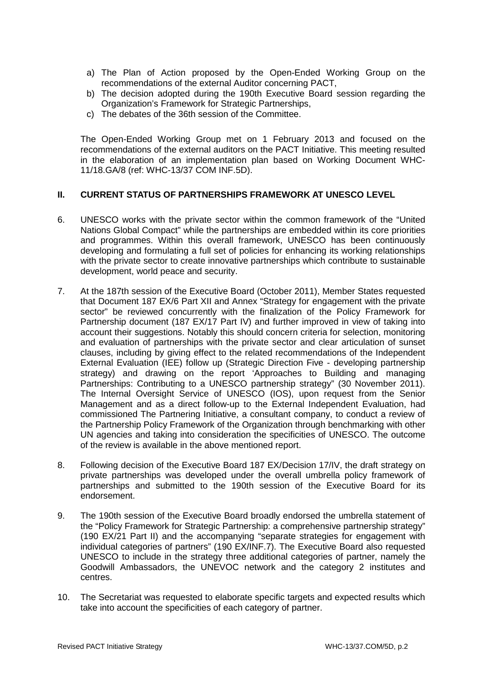- a) The Plan of Action proposed by the Open-Ended Working Group on the recommendations of the external Auditor concerning PACT,
- b) The decision adopted during the 190th Executive Board session regarding the Organization's Framework for Strategic Partnerships,
- c) The debates of the 36th session of the Committee.

The Open-Ended Working Group met on 1 February 2013 and focused on the recommendations of the external auditors on the PACT Initiative. This meeting resulted in the elaboration of an implementation plan based on Working Document WHC-11/18.GA/8 (ref: WHC-13/37 COM INF.5D).

# **II. CURRENT STATUS OF PARTNERSHIPS FRAMEWORK AT UNESCO LEVEL**

- 6. UNESCO works with the private sector within the common framework of the "United Nations Global Compact" while the partnerships are embedded within its core priorities and programmes. Within this overall framework, UNESCO has been continuously developing and formulating a full set of policies for enhancing its working relationships with the private sector to create innovative partnerships which contribute to sustainable development, world peace and security.
- 7. At the 187th session of the Executive Board (October 2011), Member States requested that Document 187 EX/6 Part XII and Annex "Strategy for engagement with the private sector" be reviewed concurrently with the finalization of the Policy Framework for Partnership document (187 EX/17 Part IV) and further improved in view of taking into account their suggestions. Notably this should concern criteria for selection, monitoring and evaluation of partnerships with the private sector and clear articulation of sunset clauses, including by giving effect to the related recommendations of the Independent External Evaluation (IEE) follow up (Strategic Direction Five - developing partnership strategy) and drawing on the report 'Approaches to Building and managing Partnerships: Contributing to a UNESCO partnership strategy" (30 November 2011). The Internal Oversight Service of UNESCO (IOS), upon request from the Senior Management and as a direct follow-up to the External Independent Evaluation, had commissioned The Partnering Initiative, a consultant company, to conduct a review of the Partnership Policy Framework of the Organization through benchmarking with other UN agencies and taking into consideration the specificities of UNESCO. The outcome of the review is available in the above mentioned report.
- 8. Following decision of the Executive Board 187 EX/Decision 17/IV, the draft strategy on private partnerships was developed under the overall umbrella policy framework of partnerships and submitted to the 190th session of the Executive Board for its endorsement.
- 9. The 190th session of the Executive Board broadly endorsed the umbrella statement of the "Policy Framework for Strategic Partnership: a comprehensive partnership strategy" (190 EX/21 Part II) and the accompanying "separate strategies for engagement with individual categories of partners" (190 EX/INF.7). The Executive Board also requested UNESCO to include in the strategy three additional categories of partner, namely the Goodwill Ambassadors, the UNEVOC network and the category 2 institutes and centres.
- 10. The Secretariat was requested to elaborate specific targets and expected results which take into account the specificities of each category of partner.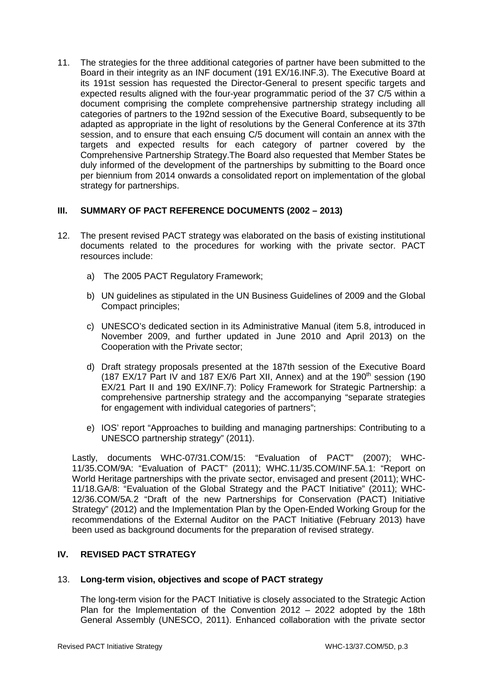11. The strategies for the three additional categories of partner have been submitted to the Board in their integrity as an INF document (191 EX/16.INF.3). The Executive Board at its 191st session has requested the Director-General to present specific targets and expected results aligned with the four-year programmatic period of the 37 C/5 within a document comprising the complete comprehensive partnership strategy including all categories of partners to the 192nd session of the Executive Board, subsequently to be adapted as appropriate in the light of resolutions by the General Conference at its 37th session, and to ensure that each ensuing C/5 document will contain an annex with the targets and expected results for each category of partner covered by the Comprehensive Partnership Strategy.The Board also requested that Member States be duly informed of the development of the partnerships by submitting to the Board once per biennium from 2014 onwards a consolidated report on implementation of the global strategy for partnerships.

# **III. SUMMARY OF PACT REFERENCE DOCUMENTS (2002 – 2013)**

- 12. The present revised PACT strategy was elaborated on the basis of existing institutional documents related to the procedures for working with the private sector. PACT resources include:
	- a) The 2005 PACT Regulatory Framework;
	- b) UN guidelines as stipulated in the UN Business Guidelines of 2009 and the Global Compact principles;
	- c) UNESCO's dedicated section in its Administrative Manual (item 5.8, introduced in November 2009, and further updated in June 2010 and April 2013) on the Cooperation with the Private sector;
	- d) Draft strategy proposals presented at the 187th session of the Executive Board (187 EX/17 Part IV and 187 EX/6 Part XII, Annex) and at the 190<sup>th</sup> session (190 EX/21 Part II and 190 EX/INF.7): Policy Framework for Strategic Partnership: a comprehensive partnership strategy and the accompanying "separate strategies for engagement with individual categories of partners";
	- e) IOS' report "Approaches to building and managing partnerships: Contributing to a UNESCO partnership strategy" (2011).

Lastly, documents WHC-07/31.COM/15: "Evaluation of PACT" (2007); WHC-11/35.COM/9A: "Evaluation of PACT" (2011); WHC.11/35.COM/INF.5A.1: "Report on World Heritage partnerships with the private sector, envisaged and present (2011); WHC-11/18.GA/8: "Evaluation of the Global Strategy and the PACT Initiative" (2011); WHC-12/36.COM/5A.2 "Draft of the new Partnerships for Conservation (PACT) Initiative Strategy" (2012) and the Implementation Plan by the Open-Ended Working Group for the recommendations of the External Auditor on the PACT Initiative (February 2013) have been used as background documents for the preparation of revised strategy.

# **IV. REVISED PACT STRATEGY**

# 13. **Long-term vision, objectives and scope of PACT strategy**

The long-term vision for the PACT Initiative is closely associated to the Strategic Action Plan for the Implementation of the Convention 2012 – 2022 adopted by the 18th General Assembly (UNESCO, 2011). Enhanced collaboration with the private sector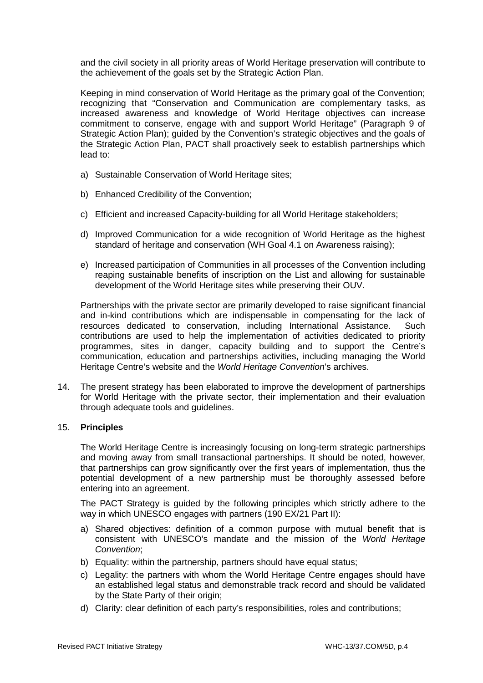and the civil society in all priority areas of World Heritage preservation will contribute to the achievement of the goals set by the Strategic Action Plan.

Keeping in mind conservation of World Heritage as the primary goal of the Convention; recognizing that "Conservation and Communication are complementary tasks, as increased awareness and knowledge of World Heritage objectives can increase commitment to conserve, engage with and support World Heritage" (Paragraph 9 of Strategic Action Plan); guided by the Convention's strategic objectives and the goals of the Strategic Action Plan, PACT shall proactively seek to establish partnerships which lead to:

- a) Sustainable Conservation of World Heritage sites;
- b) Enhanced Credibility of the Convention;
- c) Efficient and increased Capacity-building for all World Heritage stakeholders;
- d) Improved Communication for a wide recognition of World Heritage as the highest standard of heritage and conservation (WH Goal 4.1 on Awareness raising);
- e) Increased participation of Communities in all processes of the Convention including reaping sustainable benefits of inscription on the List and allowing for sustainable development of the World Heritage sites while preserving their OUV.

Partnerships with the private sector are primarily developed to raise significant financial and in-kind contributions which are indispensable in compensating for the lack of resources dedicated to conservation, including International Assistance. Such contributions are used to help the implementation of activities dedicated to priority programmes, sites in danger, capacity building and to support the Centre's communication, education and partnerships activities, including managing the World Heritage Centre's website and the *World Heritage Convention*'s archives.

14. The present strategy has been elaborated to improve the development of partnerships for World Heritage with the private sector, their implementation and their evaluation through adequate tools and guidelines.

#### 15. **Principles**

The World Heritage Centre is increasingly focusing on long-term strategic partnerships and moving away from small transactional partnerships. It should be noted, however, that partnerships can grow significantly over the first years of implementation, thus the potential development of a new partnership must be thoroughly assessed before entering into an agreement.

The PACT Strategy is guided by the following principles which strictly adhere to the way in which UNESCO engages with partners (190 EX/21 Part II):

- a) Shared objectives: definition of a common purpose with mutual benefit that is consistent with UNESCO's mandate and the mission of the *World Heritage Convention*;
- b) Equality: within the partnership, partners should have equal status;
- c) Legality: the partners with whom the World Heritage Centre engages should have an established legal status and demonstrable track record and should be validated by the State Party of their origin;
- d) Clarity: clear definition of each party's responsibilities, roles and contributions;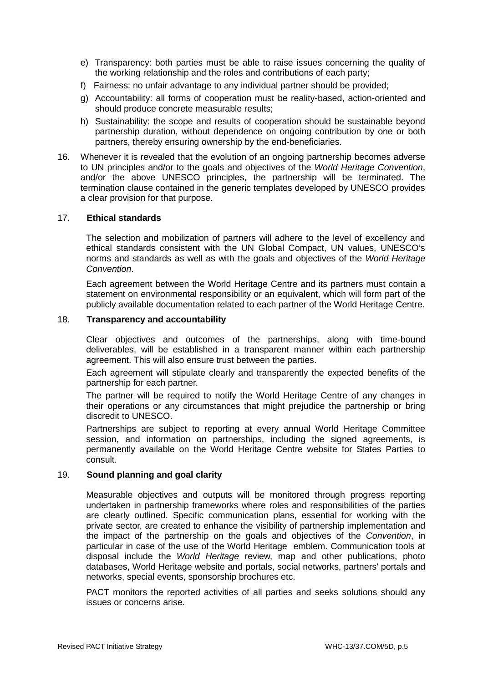- e) Transparency: both parties must be able to raise issues concerning the quality of the working relationship and the roles and contributions of each party;
- f) Fairness: no unfair advantage to any individual partner should be provided;
- g) Accountability: all forms of cooperation must be reality-based, action-oriented and should produce concrete measurable results;
- h) Sustainability: the scope and results of cooperation should be sustainable beyond partnership duration, without dependence on ongoing contribution by one or both partners, thereby ensuring ownership by the end-beneficiaries.
- 16. Whenever it is revealed that the evolution of an ongoing partnership becomes adverse to UN principles and/or to the goals and objectives of the *World Heritage Convention*, and/or the above UNESCO principles, the partnership will be terminated. The termination clause contained in the generic templates developed by UNESCO provides a clear provision for that purpose.

## 17. **Ethical standards**

The selection and mobilization of partners will adhere to the level of excellency and ethical standards consistent with the UN Global Compact, UN values, UNESCO's norms and standards as well as with the goals and objectives of the *World Heritage Convention*.

Each agreement between the World Heritage Centre and its partners must contain a statement on environmental responsibility or an equivalent, which will form part of the publicly available documentation related to each partner of the World Heritage Centre.

#### 18. **Transparency and accountability**

Clear objectives and outcomes of the partnerships, along with time-bound deliverables, will be established in a transparent manner within each partnership agreement. This will also ensure trust between the parties.

Each agreement will stipulate clearly and transparently the expected benefits of the partnership for each partner.

The partner will be required to notify the World Heritage Centre of any changes in their operations or any circumstances that might prejudice the partnership or bring discredit to UNESCO.

Partnerships are subject to reporting at every annual World Heritage Committee session, and information on partnerships, including the signed agreements, is permanently available on the World Heritage Centre website for States Parties to consult.

#### 19. **Sound planning and goal clarity**

Measurable objectives and outputs will be monitored through progress reporting undertaken in partnership frameworks where roles and responsibilities of the parties are clearly outlined. Specific communication plans, essential for working with the private sector, are created to enhance the visibility of partnership implementation and the impact of the partnership on the goals and objectives of the *Convention*, in particular in case of the use of the World Heritage emblem. Communication tools at disposal include the *World Heritage* review, map and other publications, photo databases, World Heritage website and portals, social networks, partners' portals and networks, special events, sponsorship brochures etc.

PACT monitors the reported activities of all parties and seeks solutions should any issues or concerns arise.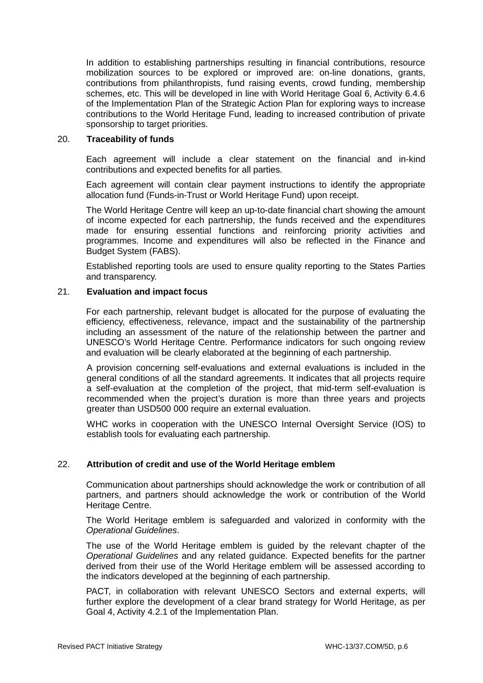In addition to establishing partnerships resulting in financial contributions, resource mobilization sources to be explored or improved are: on-line donations, grants, contributions from philanthropists, fund raising events, crowd funding, membership schemes, etc. This will be developed in line with World Heritage Goal 6, Activity 6.4.6 of the Implementation Plan of the Strategic Action Plan for exploring ways to increase contributions to the World Heritage Fund, leading to increased contribution of private sponsorship to target priorities.

#### 20. **Traceability of funds**

Each agreement will include a clear statement on the financial and in-kind contributions and expected benefits for all parties.

Each agreement will contain clear payment instructions to identify the appropriate allocation fund (Funds-in-Trust or World Heritage Fund) upon receipt.

The World Heritage Centre will keep an up-to-date financial chart showing the amount of income expected for each partnership, the funds received and the expenditures made for ensuring essential functions and reinforcing priority activities and programmes. Income and expenditures will also be reflected in the Finance and Budget System (FABS).

Established reporting tools are used to ensure quality reporting to the States Parties and transparency.

### 21. **Evaluation and impact focus**

For each partnership, relevant budget is allocated for the purpose of evaluating the efficiency, effectiveness, relevance, impact and the sustainability of the partnership including an assessment of the nature of the relationship between the partner and UNESCO's World Heritage Centre. Performance indicators for such ongoing review and evaluation will be clearly elaborated at the beginning of each partnership.

A provision concerning self-evaluations and external evaluations is included in the general conditions of all the standard agreements. It indicates that all projects require a self-evaluation at the completion of the project, that mid-term self-evaluation is recommended when the project's duration is more than three years and projects greater than USD500 000 require an external evaluation.

WHC works in cooperation with the UNESCO Internal Oversight Service (IOS) to establish tools for evaluating each partnership.

# 22. **Attribution of credit and use of the World Heritage emblem**

Communication about partnerships should acknowledge the work or contribution of all partners, and partners should acknowledge the work or contribution of the World Heritage Centre.

The World Heritage emblem is safeguarded and valorized in conformity with the *Operational Guidelines*.

The use of the World Heritage emblem is guided by the relevant chapter of the *Operational Guidelines* and any related guidance. Expected benefits for the partner derived from their use of the World Heritage emblem will be assessed according to the indicators developed at the beginning of each partnership.

PACT, in collaboration with relevant UNESCO Sectors and external experts, will further explore the development of a clear brand strategy for World Heritage, as per Goal 4, Activity 4.2.1 of the Implementation Plan.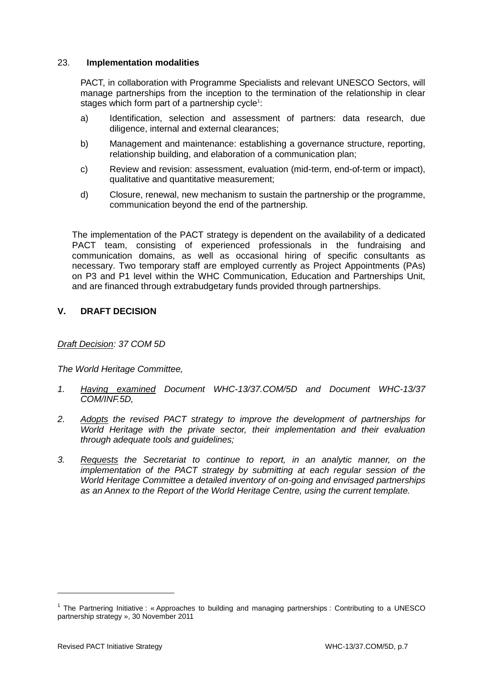## 23. **Implementation modalities**

PACT, in collaboration with Programme Specialists and relevant UNESCO Sectors, will manage partnerships from the inception to the termination of the relationship in clear stages which form part of a partnership cycle<sup>1</sup>:

- a) Identification, selection and assessment of partners: data research, due diligence, internal and external clearances;
- b) Management and maintenance: establishing a governance structure, reporting, relationship building, and elaboration of a communication plan;
- c) Review and revision: assessment, evaluation (mid-term, end-of-term or impact), qualitative and quantitative measurement;
- d) Closure, renewal, new mechanism to sustain the partnership or the programme, communication beyond the end of the partnership.

The implementation of the PACT strategy is dependent on the availability of a dedicated PACT team, consisting of experienced professionals in the fundraising and communication domains, as well as occasional hiring of specific consultants as necessary. Two temporary staff are employed currently as Project Appointments (PAs) on P3 and P1 level within the WHC Communication, Education and Partnerships Unit, and are financed through extrabudgetary funds provided through partnerships.

# **V. DRAFT DECISION**

#### *Draft Decision: 37 COM 5D*

*The World Heritage Committee,*

- *1. Having examined Document WHC-13/37.COM/5D and Document WHC-13/37 COM/INF.5D,*
- *2. Adopts the revised PACT strategy to improve the development of partnerships for World Heritage with the private sector, their implementation and their evaluation through adequate tools and guidelines;*
- *3. Requests the Secretariat to continue to report, in an analytic manner, on the implementation of the PACT strategy by submitting at each regular session of the World Heritage Committee a detailed inventory of on-going and envisaged partnerships as an Annex to the Report of the World Heritage Centre, using the current template.*

-

<sup>&</sup>lt;sup>1</sup> The Partnering Initiative : « Approaches to building and managing partnerships : Contributing to a UNESCO partnership strategy », 30 November 2011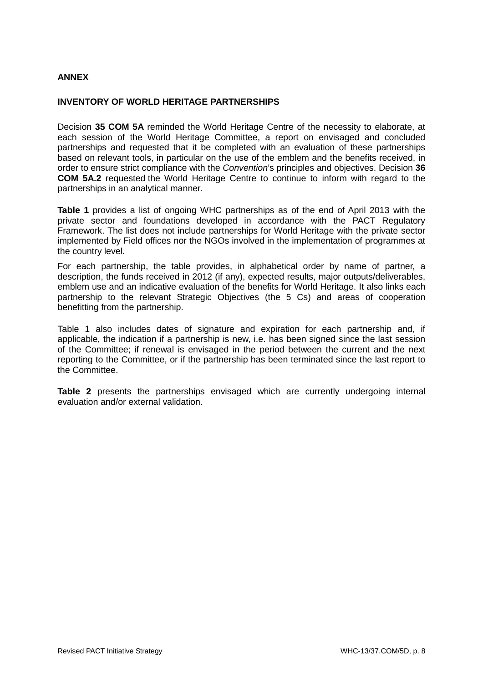## **ANNEX**

#### **INVENTORY OF WORLD HERITAGE PARTNERSHIPS**

Decision **35 COM 5A** reminded the World Heritage Centre of the necessity to elaborate, at each session of the World Heritage Committee, a report on envisaged and concluded partnerships and requested that it be completed with an evaluation of these partnerships based on relevant tools, in particular on the use of the emblem and the benefits received, in order to ensure strict compliance with the *Convention*'s principles and objectives. Decision **36 COM 5A.2** requested the World Heritage Centre to continue to inform with regard to the partnerships in an analytical manner.

**Table 1** provides a list of ongoing WHC partnerships as of the end of April 2013 with the private sector and foundations developed in accordance with the PACT Regulatory Framework. The list does not include partnerships for World Heritage with the private sector implemented by Field offices nor the NGOs involved in the implementation of programmes at the country level.

For each partnership, the table provides, in alphabetical order by name of partner, a description, the funds received in 2012 (if any), expected results, major outputs/deliverables, emblem use and an indicative evaluation of the benefits for World Heritage. It also links each partnership to the relevant Strategic Objectives (the 5 Cs) and areas of cooperation benefitting from the partnership.

Table 1 also includes dates of signature and expiration for each partnership and, if applicable, the indication if a partnership is new, i.e. has been signed since the last session of the Committee; if renewal is envisaged in the period between the current and the next reporting to the Committee, or if the partnership has been terminated since the last report to the Committee.

**Table 2** presents the partnerships envisaged which are currently undergoing internal evaluation and/or external validation.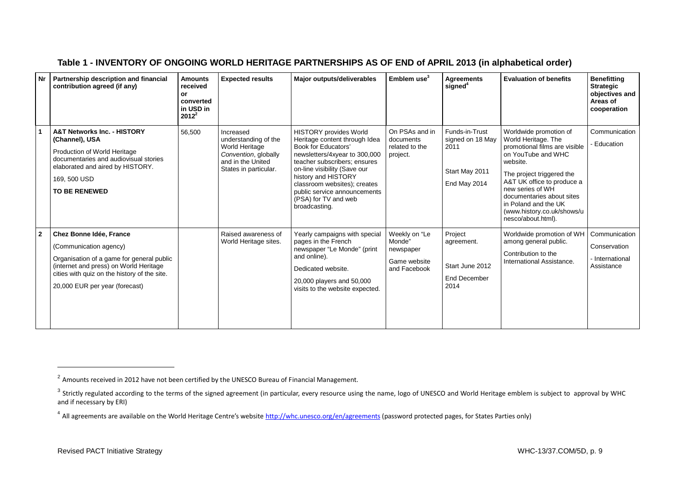|  | Table 1 - INVENTORY OF ONGOING WORLD HERITAGE PARTNERSHIPS AS OF END of APRIL 2013 (in alphabetical order) |
|--|------------------------------------------------------------------------------------------------------------|
|--|------------------------------------------------------------------------------------------------------------|

| Nr             | Partnership description and financial<br>contribution agreed (if any)                                                                                                                                                      | <b>Amounts</b><br>received<br>or<br>converted<br>in USD in<br>$2012^2$ | <b>Expected results</b>                                                                                                   | Major outputs/deliverables                                                                                                                                                                                                                                                                                             | Emblem use $3$                                                       | <b>Agreements</b><br>signed <sup>4</sup>                                     | <b>Evaluation of benefits</b>                                                                                                                                                                                                                                                                            | <b>Benefitting</b><br><b>Strategic</b><br>objectives and<br>Areas of<br>cooperation |
|----------------|----------------------------------------------------------------------------------------------------------------------------------------------------------------------------------------------------------------------------|------------------------------------------------------------------------|---------------------------------------------------------------------------------------------------------------------------|------------------------------------------------------------------------------------------------------------------------------------------------------------------------------------------------------------------------------------------------------------------------------------------------------------------------|----------------------------------------------------------------------|------------------------------------------------------------------------------|----------------------------------------------------------------------------------------------------------------------------------------------------------------------------------------------------------------------------------------------------------------------------------------------------------|-------------------------------------------------------------------------------------|
|                | <b>A&amp;T Networks Inc. - HISTORY</b><br>(Channel), USA<br>Production of World Heritage<br>documentaries and audiovisual stories<br>elaborated and aired by HISTORY.<br>169, 500 USD<br><b>TO BE RENEWED</b>              | 56,500                                                                 | Increased<br>understanding of the<br>World Heritage<br>Convention, globally<br>and in the United<br>States in particular. | <b>HISTORY</b> provides World<br>Heritage content through Idea<br>Book for Educators'<br>newsletters/4xyear to 300,000<br>teacher subscribers; ensures<br>on-line visibility (Save our<br>history and HISTORY<br>classroom websites); creates<br>public service announcements<br>(PSA) for TV and web<br>broadcasting. | On PSAs and in<br>documents<br>related to the<br>project.            | Funds-in-Trust<br>signed on 18 May<br>2011<br>Start May 2011<br>End May 2014 | Worldwide promotion of<br>World Heritage. The<br>promotional films are visible<br>on YouTube and WHC<br>website.<br>The project triggered the<br>A&T UK office to produce a<br>new series of WH<br>documentaries about sites<br>in Poland and the UK<br>(www.history.co.uk/shows/u<br>nesco/about.html). | Communication<br>- Education                                                        |
| $\overline{2}$ | Chez Bonne Idée, France<br>(Communication agency)<br>Organisation of a game for general public<br>(internet and press) on World Heritage<br>cities with quiz on the history of the site.<br>20,000 EUR per year (forecast) |                                                                        | Raised awareness of<br>World Heritage sites.                                                                              | Yearly campaigns with special<br>pages in the French<br>newspaper "Le Monde" (print<br>and online).<br>Dedicated website.<br>20,000 players and 50,000<br>visits to the website expected.                                                                                                                              | Weekly on "Le<br>Monde"<br>newspaper<br>Game website<br>and Facebook | Project<br>agreement.<br>Start June 2012<br>End December<br>2014             | Worldwide promotion of WH<br>among general public.<br>Contribution to the<br>International Assistance.                                                                                                                                                                                                   | Communication<br>Conservation<br>- International<br>Assistance                      |

j

<sup>&</sup>lt;sup>2</sup> Amounts received in 2012 have not been certified by the UNESCO Bureau of Financial Management.

 $3$  Strictly regulated according to the terms of the signed agreement (in particular, every resource using the name, logo of UNESCO and World Heritage emblem is subject to approval by WHC and if necessary by ERI)

<sup>&</sup>lt;sup>4</sup> All agreements are available on the World Heritage Centre's website <http://whc.unesco.org/en/agreements> (password protected pages, for States Parties only)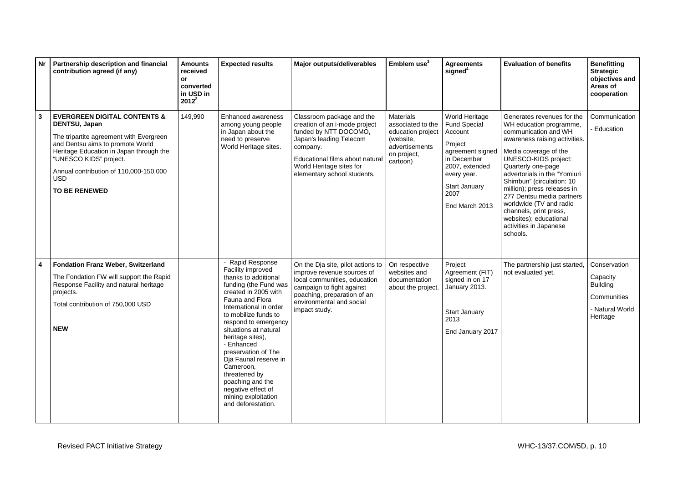| Nr | Partnership description and financial<br>contribution agreed (if any)                                                                                                                                                                                                                        | <b>Amounts</b><br>received<br>or<br>converted<br>in USD in<br>$2012^2$ | <b>Expected results</b>                                                                                                                                                                                                                                                                                                                                                                                                                     | Major outputs/deliverables                                                                                                                                                                                               | Emblem use <sup>3</sup>                                                                                              | <b>Agreements</b><br>signed <sup>4</sup>                                                                                                                                          | <b>Evaluation of benefits</b>                                                                                                                                                                                                                                                                                                                                                                                                       | <b>Benefitting</b><br><b>Strategic</b><br>objectives and<br>Areas of<br>cooperation       |
|----|----------------------------------------------------------------------------------------------------------------------------------------------------------------------------------------------------------------------------------------------------------------------------------------------|------------------------------------------------------------------------|---------------------------------------------------------------------------------------------------------------------------------------------------------------------------------------------------------------------------------------------------------------------------------------------------------------------------------------------------------------------------------------------------------------------------------------------|--------------------------------------------------------------------------------------------------------------------------------------------------------------------------------------------------------------------------|----------------------------------------------------------------------------------------------------------------------|-----------------------------------------------------------------------------------------------------------------------------------------------------------------------------------|-------------------------------------------------------------------------------------------------------------------------------------------------------------------------------------------------------------------------------------------------------------------------------------------------------------------------------------------------------------------------------------------------------------------------------------|-------------------------------------------------------------------------------------------|
| 3  | <b>EVERGREEN DIGITAL CONTENTS &amp;</b><br>DENTSU, Japan<br>The tripartite agreement with Evergreen<br>and Dentsu aims to promote World<br>Heritage Education in Japan through the<br>"UNESCO KIDS" project.<br>Annual contribution of 110,000-150,000<br><b>USD</b><br><b>TO BE RENEWED</b> | 149,990                                                                | Enhanced awareness<br>among young people<br>in Japan about the<br>need to preserve<br>World Heritage sites.                                                                                                                                                                                                                                                                                                                                 | Classroom package and the<br>creation of an i-mode project<br>funded by NTT DOCOMO,<br>Japan's leading Telecom<br>company.<br>Educational films about natural<br>World Heritage sites for<br>elementary school students. | <b>Materials</b><br>associated to the<br>education project<br>(website,<br>advertisements<br>on project,<br>cartoon) | World Heritage<br><b>Fund Special</b><br>Account<br>Project<br>agreement signed<br>in December<br>2007, extended<br>every year.<br><b>Start January</b><br>2007<br>End March 2013 | Generates revenues for the<br>WH education programme,<br>communication and WH<br>awareness raising activities.<br>Media coverage of the<br>UNESCO-KIDS project:<br>Quarterly one-page<br>advertorials in the "Yomiuri<br>Shimbun" (circulation: 10<br>million); press releases in<br>277 Dentsu media partners<br>worldwide (TV and radio<br>channels, print press,<br>websites); educational<br>activities in Japanese<br>schools. | Communication<br>Education                                                                |
| 4  | <b>Fondation Franz Weber, Switzerland</b><br>The Fondation FW will support the Rapid<br>Response Facility and natural heritage<br>projects.<br>Total contribution of 750,000 USD<br><b>NEW</b>                                                                                               |                                                                        | - Rapid Response<br>Facility improved<br>thanks to additional<br>funding (the Fund was<br>created in 2005 with<br>Fauna and Flora<br>International in order<br>to mobilize funds to<br>respond to emergency<br>situations at natural<br>heritage sites),<br>- Enhanced<br>preservation of The<br>Dja Faunal reserve in<br>Cameroon.<br>threatened by<br>poaching and the<br>negative effect of<br>mining exploitation<br>and deforestation. | On the Dja site, pilot actions to<br>improve revenue sources of<br>local communities, education<br>campaign to fight against<br>poaching, preparation of an<br>environmental and social<br>impact study.                 | On respective<br>websites and<br>documentation<br>about the project.                                                 | Project<br>Agreement (FIT)<br>signed in on 17<br>January 2013.<br><b>Start January</b><br>2013<br>End January 2017                                                                | The partnership just started,<br>not evaluated yet.                                                                                                                                                                                                                                                                                                                                                                                 | Conservation<br>Capacity<br><b>Building</b><br>Communities<br>- Natural World<br>Heritage |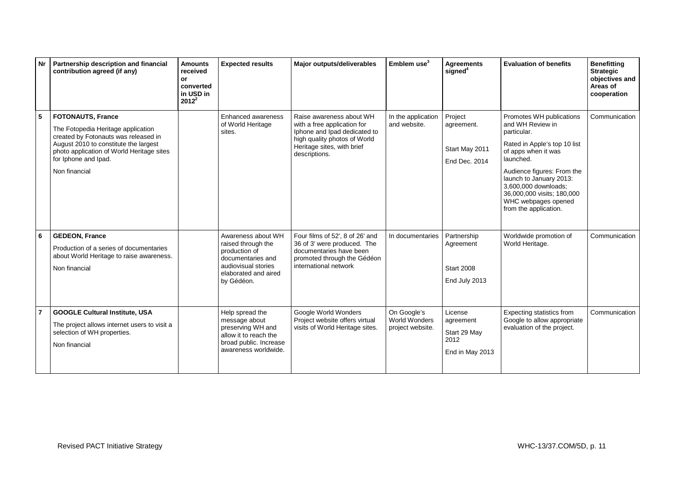| <b>Nr</b>      | Partnership description and financial<br>contribution agreed (if any)                                                                                                                                                                 | <b>Amounts</b><br>received<br>or<br>converted<br>in USD in<br>$2012^2$ | <b>Expected results</b>                                                                                                                     | Major outputs/deliverables                                                                                                                                             | Emblem $use3$                                    | <b>Agreements</b><br>signed <sup>4</sup>                        | <b>Evaluation of benefits</b>                                                                                                                                                                                                                                                                  | <b>Benefitting</b><br><b>Strategic</b><br>objectives and<br>Areas of<br>cooperation |
|----------------|---------------------------------------------------------------------------------------------------------------------------------------------------------------------------------------------------------------------------------------|------------------------------------------------------------------------|---------------------------------------------------------------------------------------------------------------------------------------------|------------------------------------------------------------------------------------------------------------------------------------------------------------------------|--------------------------------------------------|-----------------------------------------------------------------|------------------------------------------------------------------------------------------------------------------------------------------------------------------------------------------------------------------------------------------------------------------------------------------------|-------------------------------------------------------------------------------------|
| 5              | <b>FOTONAUTS, France</b><br>The Fotopedia Heritage application<br>created by Fotonauts was released in<br>August 2010 to constitute the largest<br>photo application of World Heritage sites<br>for Iphone and Ipad.<br>Non financial |                                                                        | Enhanced awareness<br>of World Heritage<br>sites.                                                                                           | Raise awareness about WH<br>with a free application for<br>Iphone and Ipad dedicated to<br>high quality photos of World<br>Heritage sites, with brief<br>descriptions. | In the application<br>and website.               | Project<br>agreement.<br>Start May 2011<br>End Dec. 2014        | Promotes WH publications<br>and WH Review in<br>particular.<br>Rated in Apple's top 10 list<br>of apps when it was<br>launched.<br>Audience figures: From the<br>launch to January 2013:<br>3,600,000 downloads;<br>36,000,000 visits; 180,000<br>WHC webpages opened<br>from the application. | Communication                                                                       |
| 6              | <b>GEDEON, France</b><br>Production of a series of documentaries<br>about World Heritage to raise awareness.<br>Non financial                                                                                                         |                                                                        | Awareness about WH<br>raised through the<br>production of<br>documentaries and<br>audiovisual stories<br>elaborated and aired<br>by Gédéon. | Four films of 52', 8 of 26' and<br>36 of 3' were produced. The<br>documentaries have been<br>promoted through the Gédéon<br>international network                      | In documentaries                                 | Partnership<br>Agreement<br><b>Start 2008</b><br>End July 2013  | Worldwide promotion of<br>World Heritage.                                                                                                                                                                                                                                                      | Communication                                                                       |
| $\overline{7}$ | <b>GOOGLE Cultural Institute, USA</b><br>The project allows internet users to visit a<br>selection of WH properties.<br>Non financial                                                                                                 |                                                                        | Help spread the<br>message about<br>preserving WH and<br>allow it to reach the<br>broad public. Increase<br>awareness worldwide.            | Google World Wonders<br>Project website offers virtual<br>visits of World Heritage sites.                                                                              | On Google's<br>World Wonders<br>project website. | License<br>agreement<br>Start 29 May<br>2012<br>End in May 2013 | Expecting statistics from<br>Google to allow appropriate<br>evaluation of the project.                                                                                                                                                                                                         | Communication                                                                       |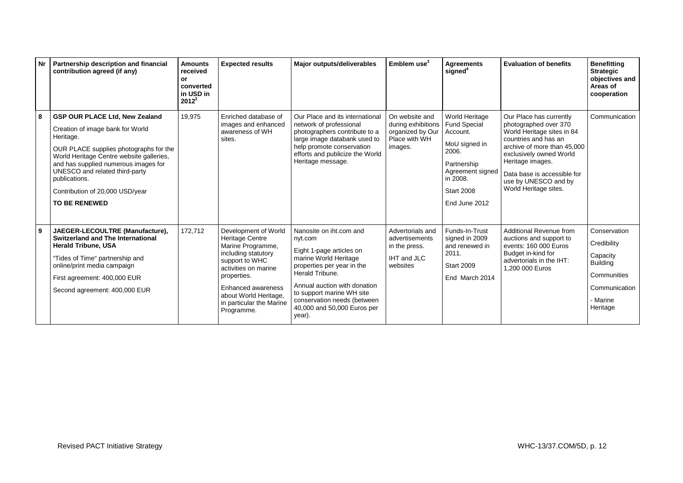|   | Nr   Partnership description and financial<br>contribution agreed (if any)                                                                                                                                                                                                                                                         | <b>Amounts</b><br>received<br>or<br>converted<br>in USD in<br>$2012^2$ | <b>Expected results</b>                                                                                                                                                                                                               | Major outputs/deliverables                                                                                                                                                                                                                                                    | Emblem $use3$                                                                        | <b>Agreements</b><br>signed <sup>4</sup>                                                                                                                                | <b>Evaluation of benefits</b>                                                                                                                                                                                                                                        | <b>Benefitting</b><br><b>Strategic</b><br>objectives and<br>Areas of<br>cooperation                                |
|---|------------------------------------------------------------------------------------------------------------------------------------------------------------------------------------------------------------------------------------------------------------------------------------------------------------------------------------|------------------------------------------------------------------------|---------------------------------------------------------------------------------------------------------------------------------------------------------------------------------------------------------------------------------------|-------------------------------------------------------------------------------------------------------------------------------------------------------------------------------------------------------------------------------------------------------------------------------|--------------------------------------------------------------------------------------|-------------------------------------------------------------------------------------------------------------------------------------------------------------------------|----------------------------------------------------------------------------------------------------------------------------------------------------------------------------------------------------------------------------------------------------------------------|--------------------------------------------------------------------------------------------------------------------|
| 8 | <b>GSP OUR PLACE Ltd, New Zealand</b><br>Creation of image bank for World<br>Heritage.<br>OUR PLACE supplies photographs for the<br>World Heritage Centre website galleries,<br>and has supplied numerous images for<br>UNESCO and related third-party<br>publications.<br>Contribution of 20,000 USD/year<br><b>TO BE RENEWED</b> | 19,975                                                                 | Enriched database of<br>images and enhanced<br>awareness of WH<br>sites.                                                                                                                                                              | Our Place and its international<br>network of professional<br>photographers contribute to a<br>large image databank used to<br>help promote conservation<br>efforts and publicize the World<br>Heritage message.                                                              | On website and<br>during exhibitions<br>organized by Our<br>Place with WH<br>images. | <b>World Heritage</b><br><b>Fund Special</b><br>Account.<br>MoU signed in<br>2006.<br>Partnership<br>Agreement signed<br>in 2008.<br><b>Start 2008</b><br>End June 2012 | Our Place has currently<br>photographed over 370<br>World Heritage sites in 84<br>countries and has an<br>archive of more than 45,000<br>exclusively owned World<br>Heritage images.<br>Data base is accessible for<br>use by UNESCO and by<br>World Heritage sites. | Communication                                                                                                      |
| 9 | JAEGER-LECOULTRE (Manufacture),<br><b>Switzerland and The International</b><br><b>Herald Tribune, USA</b><br>"Tides of Time" partnership and<br>online/print media campaign<br>First agreement: 400,000 EUR<br>Second agreement: 400,000 EUR                                                                                       | 172,712                                                                | Development of World<br>Heritage Centre<br>Marine Programme,<br>including statutory<br>support to WHC<br>activities on marine<br>properties.<br>Enhanced awareness<br>about World Heritage,<br>in particular the Marine<br>Programme. | Nanosite on iht.com and<br>nyt.com<br>Eight 1-page articles on<br>marine World Heritage<br>properties per year in the<br>Herald Tribune.<br>Annual auction with donation<br>to support marine WH site<br>conservation needs (between<br>40,000 and 50,000 Euros per<br>year). | Advertorials and<br>advertisements<br>in the press.<br>IHT and JLC<br>websites       | Funds-In-Trust<br>signed in 2009<br>and renewed in<br>2011.<br><b>Start 2009</b><br>End March 2014                                                                      | Additional Revenue from<br>auctions and support to<br>events: 160 000 Euros<br>Budget in-kind for<br>advertorials in the IHT:<br>1.200 000 Euros                                                                                                                     | Conservation<br>Credibility<br>Capacity<br><b>Building</b><br>Communities<br>Communication<br>- Marine<br>Heritage |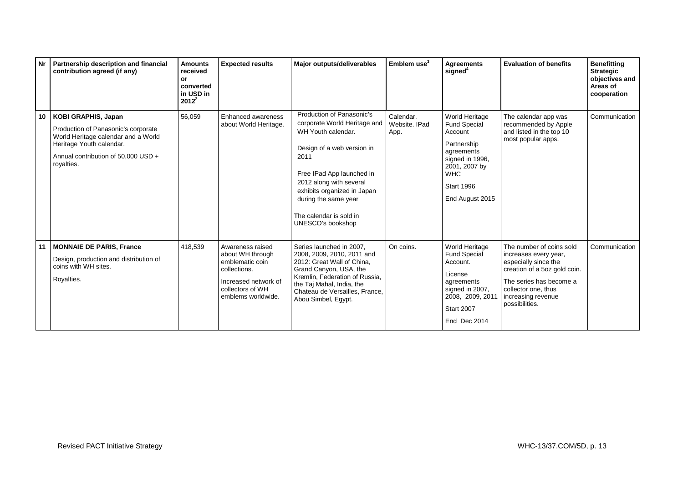|                 | Nr   Partnership description and financial<br>contribution agreed (if any)                                                                                                         | <b>Amounts</b><br>received<br>or<br>converted<br>in USD in<br>$2012^2$ | <b>Expected results</b>                                                                                                                   | Major outputs/deliverables                                                                                                                                                                                                                                                           | Emblem use $3$                     | <b>Agreements</b><br>signed <sup>4</sup>                                                                                                                                | <b>Evaluation of benefits</b>                                                                                                                                                                       | <b>Benefitting</b><br><b>Strategic</b><br>objectives and<br>Areas of<br>cooperation |
|-----------------|------------------------------------------------------------------------------------------------------------------------------------------------------------------------------------|------------------------------------------------------------------------|-------------------------------------------------------------------------------------------------------------------------------------------|--------------------------------------------------------------------------------------------------------------------------------------------------------------------------------------------------------------------------------------------------------------------------------------|------------------------------------|-------------------------------------------------------------------------------------------------------------------------------------------------------------------------|-----------------------------------------------------------------------------------------------------------------------------------------------------------------------------------------------------|-------------------------------------------------------------------------------------|
| 10 <sup>1</sup> | KOBI GRAPHIS, Japan<br>Production of Panasonic's corporate<br>World Heritage calendar and a World<br>Heritage Youth calendar.<br>Annual contribution of 50,000 USD +<br>royalties. | 56,059                                                                 | Enhanced awareness<br>about World Heritage.                                                                                               | Production of Panasonic's<br>corporate World Heritage and<br>WH Youth calendar.<br>Design of a web version in<br>2011<br>Free IPad App launched in<br>2012 along with several<br>exhibits organized in Japan<br>during the same year<br>The calendar is sold in<br>UNESCO's bookshop | Calendar.<br>Website, IPad<br>App. | World Heritage<br><b>Fund Special</b><br>Account<br>Partnership<br>agreements<br>signed in 1996,<br>2001, 2007 by<br><b>WHC</b><br><b>Start 1996</b><br>End August 2015 | The calendar app was<br>recommended by Apple<br>and listed in the top 10<br>most popular apps.                                                                                                      | Communication                                                                       |
|                 | 11   MONNAIE DE PARIS, France<br>Design, production and distribution of<br>coins with WH sites.<br>Royalties.                                                                      | 418.539                                                                | Awareness raised<br>about WH through<br>emblematic coin<br>collections.<br>Increased network of<br>collectors of WH<br>emblems worldwide. | Series launched in 2007,<br>2008, 2009, 2010, 2011 and<br>2012: Great Wall of China.<br>Grand Canyon, USA, the<br>Kremlin, Federation of Russia,<br>the Taj Mahal, India, the<br>Chateau de Versailles, France,<br>Abou Simbel, Egypt.                                               | On coins.                          | World Heritage<br><b>Fund Special</b><br>Account.<br>License<br>agreements<br>signed in 2007,<br>2008, 2009, 2011<br><b>Start 2007</b><br>End Dec 2014                  | The number of coins sold<br>increases every year,<br>especially since the<br>creation of a 5oz gold coin.<br>The series has become a<br>collector one, thus<br>increasing revenue<br>possibilities. | Communication                                                                       |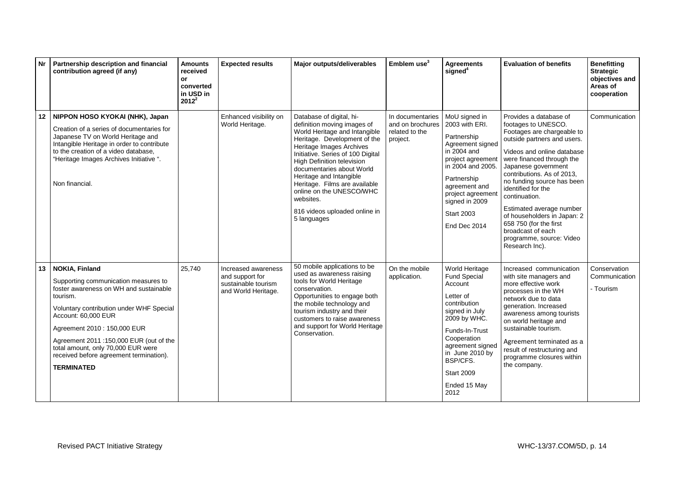| <b>Nr</b>        | Partnership description and financial<br>contribution agreed (if any)                                                                                                                                                                                                                                                                                                   | <b>Amounts</b><br>received<br>or<br>converted<br>in USD in<br>$2012^2$ | <b>Expected results</b>                                                              | <b>Major outputs/deliverables</b>                                                                                                                                                                                                                                                                                                                                                                                | Emblem use <sup>3</sup>                                            | <b>Agreements</b><br>signed <sup>4</sup>                                                                                                                                                                                                         | <b>Evaluation of benefits</b>                                                                                                                                                                                                                                                                                                                                                                                                                           | <b>Benefitting</b><br><b>Strategic</b><br>objectives and<br>Areas of<br>cooperation |
|------------------|-------------------------------------------------------------------------------------------------------------------------------------------------------------------------------------------------------------------------------------------------------------------------------------------------------------------------------------------------------------------------|------------------------------------------------------------------------|--------------------------------------------------------------------------------------|------------------------------------------------------------------------------------------------------------------------------------------------------------------------------------------------------------------------------------------------------------------------------------------------------------------------------------------------------------------------------------------------------------------|--------------------------------------------------------------------|--------------------------------------------------------------------------------------------------------------------------------------------------------------------------------------------------------------------------------------------------|---------------------------------------------------------------------------------------------------------------------------------------------------------------------------------------------------------------------------------------------------------------------------------------------------------------------------------------------------------------------------------------------------------------------------------------------------------|-------------------------------------------------------------------------------------|
|                  | 12 NIPPON HOSO KYOKAI (NHK), Japan<br>Creation of a series of documentaries for<br>Japanese TV on World Heritage and<br>Intangible Heritage in order to contribute<br>to the creation of a video database,<br>"Heritage Images Archives Initiative".<br>Non financial.                                                                                                  |                                                                        | Enhanced visibility on<br>World Heritage.                                            | Database of digital, hi-<br>definition moving images of<br>World Heritage and Intangible<br>Heritage. Development of the<br>Heritage Images Archives<br>Initiative. Series of 100 Digital<br><b>High Definition television</b><br>documentaries about World<br>Heritage and Intangible<br>Heritage. Films are available<br>online on the UNESCO/WHC<br>websites.<br>816 videos uploaded online in<br>5 languages | In documentaries<br>and on brochures<br>related to the<br>project. | MoU signed in<br>2003 with ERI.<br>Partnership<br>Agreement signed<br>in 2004 and<br>project agreement<br>in 2004 and 2005.<br>Partnership<br>agreement and<br>project agreement<br>signed in 2009<br><b>Start 2003</b><br>End Dec 2014          | Provides a database of<br>footages to UNESCO.<br>Footages are chargeable to<br>outside partners and users.<br>Videos and online database<br>were financed through the<br>Japanese government<br>contributions. As of 2013,<br>no funding source has been<br>identified for the<br>continuation.<br>Estimated average number<br>of householders in Japan: 2<br>658 750 (for the first<br>broadcast of each<br>programme, source: Video<br>Research Inc). | Communication                                                                       |
| 13 <sup>13</sup> | <b>NOKIA, Finland</b><br>Supporting communication measures to<br>foster awareness on WH and sustainable<br>tourism.<br>Voluntary contribution under WHF Special<br>Account: 60,000 EUR<br>Agreement 2010 : 150,000 EUR<br>Agreement 2011 :150,000 EUR (out of the<br>total amount, only 70,000 EUR were<br>received before agreement termination).<br><b>TERMINATED</b> | 25,740                                                                 | Increased awareness<br>and support for<br>sustainable tourism<br>and World Heritage. | 50 mobile applications to be<br>used as awareness raising<br>tools for World Heritage<br>conservation.<br>Opportunities to engage both<br>the mobile technology and<br>tourism industry and their<br>customers to raise awareness<br>and support for World Heritage<br>Conservation.                                                                                                                             | On the mobile<br>application.                                      | World Heritage<br><b>Fund Special</b><br>Account<br>Letter of<br>contribution<br>signed in July<br>2009 by WHC.<br>Funds-In-Trust<br>Cooperation<br>agreement signed<br>in June 2010 by<br>BSP/CFS.<br><b>Start 2009</b><br>Ended 15 May<br>2012 | Increased communication<br>with site managers and<br>more effective work<br>processes in the WH<br>network due to data<br>generation. Increased<br>awareness among tourists<br>on world heritage and<br>sustainable tourism.<br>Agreement terminated as a<br>result of restructuring and<br>programme closures within<br>the company.                                                                                                                   | Conservation<br>Communication<br>- Tourism                                          |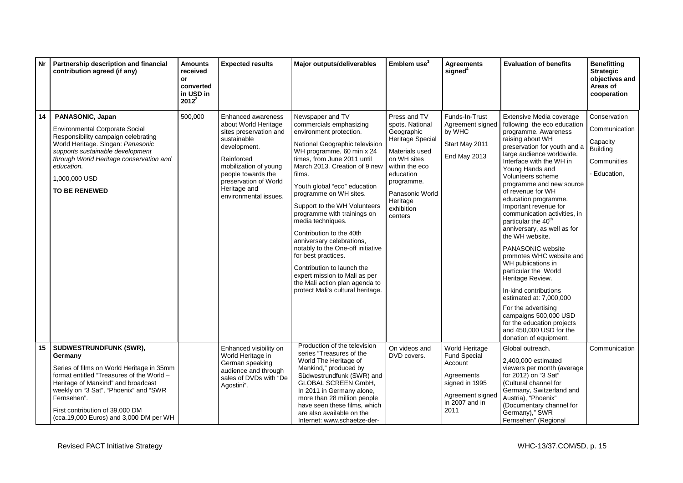| <b>Nr</b> | Partnership description and financial<br>contribution agreed (if any)                                                                                                                                                                                                                                  | <b>Amounts</b><br>received<br>or<br>converted<br>in USD in<br>$2012^2$ | <b>Expected results</b>                                                                                                                                                                                                            | Major outputs/deliverables                                                                                                                                                                                                                                                                                                                                                                                                                                                                                                                                                                                               | Emblem use <sup>3</sup>                                                                                                                                                                                 | <b>Agreements</b><br>signed <sup>4</sup>                                                                                       | <b>Evaluation of benefits</b>                                                                                                                                                                                                                                                                                                                                                                                                                                                                                                                                                                                                                                                                                                                                                | <b>Benefitting</b><br><b>Strategic</b><br>objectives and<br>Areas of<br>cooperation       |
|-----------|--------------------------------------------------------------------------------------------------------------------------------------------------------------------------------------------------------------------------------------------------------------------------------------------------------|------------------------------------------------------------------------|------------------------------------------------------------------------------------------------------------------------------------------------------------------------------------------------------------------------------------|--------------------------------------------------------------------------------------------------------------------------------------------------------------------------------------------------------------------------------------------------------------------------------------------------------------------------------------------------------------------------------------------------------------------------------------------------------------------------------------------------------------------------------------------------------------------------------------------------------------------------|---------------------------------------------------------------------------------------------------------------------------------------------------------------------------------------------------------|--------------------------------------------------------------------------------------------------------------------------------|------------------------------------------------------------------------------------------------------------------------------------------------------------------------------------------------------------------------------------------------------------------------------------------------------------------------------------------------------------------------------------------------------------------------------------------------------------------------------------------------------------------------------------------------------------------------------------------------------------------------------------------------------------------------------------------------------------------------------------------------------------------------------|-------------------------------------------------------------------------------------------|
| 14        | PANASONIC, Japan<br><b>Environmental Corporate Social</b><br>Responsibility campaign celebrating<br>World Heritage. Slogan: Panasonic<br>supports sustainable development<br>through World Heritage conservation and<br>education.<br>1.000.000 USD<br><b>TO BE RENEWED</b>                            | 500,000                                                                | Enhanced awareness<br>about World Heritage<br>sites preservation and<br>sustainable<br>development.<br>Reinforced<br>mobilization of young<br>people towards the<br>preservation of World<br>Heritage and<br>environmental issues. | Newspaper and TV<br>commercials emphasizing<br>environment protection.<br>National Geographic television<br>WH programme, 60 min x 24<br>times, from June 2011 until<br>March 2013. Creation of 9 new<br>films.<br>Youth global "eco" education<br>programme on WH sites.<br>Support to the WH Volunteers<br>programme with trainings on<br>media techniques.<br>Contribution to the 40th<br>anniversary celebrations,<br>notably to the One-off initiative<br>for best practices.<br>Contribution to launch the<br>expert mission to Mali as per<br>the Mali action plan agenda to<br>protect Mali's cultural heritage. | Press and TV<br>spots. National<br>Geographic<br>Heritage Special<br>Materials used<br>on WH sites<br>within the eco<br>education<br>programme.<br>Panasonic World<br>Heritage<br>exhibition<br>centers | Funds-In-Trust<br>Agreement signed<br>by WHC<br>Start May 2011<br>End May 2013                                                 | Extensive Media coverage<br>following the eco education<br>programme. Awareness<br>raising about WH<br>preservation for youth and a<br>large audience worldwide.<br>Interface with the WH in<br>Young Hands and<br>Volunteers scheme<br>programme and new source<br>of revenue for WH<br>education programme.<br>Important revenue for<br>communication activities, in<br>particular the 40 <sup>th</sup><br>anniversary, as well as for<br>the WH website.<br><b>PANASONIC website</b><br>promotes WHC website and<br>WH publications in<br>particular the World<br>Heritage Review.<br>In-kind contributions<br>estimated at: 7,000,000<br>For the advertising<br>campaigns 500,000 USD<br>for the education projects<br>and 450,000 USD for the<br>donation of equipment. | Conservation<br>Communication<br>Capacity<br><b>Building</b><br>Communities<br>Education, |
| 15        | SUDWESTRUNDFUNK (SWR),<br>Germany<br>Series of films on World Heritage in 35mm<br>format entitled "Treasures of the World -<br>Heritage of Mankind" and broadcast<br>weekly on "3 Sat", "Phoenix" and "SWR<br>Fernsehen".<br>First contribution of 39,000 DM<br>(cca.19,000 Euros) and 3,000 DM per WH |                                                                        | Enhanced visibility on<br>World Heritage in<br>German speaking<br>audience and through<br>sales of DVDs with "De<br>Agostini".                                                                                                     | Production of the television<br>series "Treasures of the<br>World The Heritage of<br>Mankind," produced by<br>Südwestrundfunk (SWR) and<br><b>GLOBAL SCREEN GmbH.</b><br>In 2011 in Germany alone,<br>more than 28 million people<br>have seen these films, which<br>are also available on the<br>Internet: www.schaetze-der-                                                                                                                                                                                                                                                                                            | On videos and<br>DVD covers.                                                                                                                                                                            | World Heritage<br><b>Fund Special</b><br>Account<br>Agreements<br>signed in 1995<br>Agreement signed<br>in 2007 and in<br>2011 | Global outreach.<br>2,400,000 estimated<br>viewers per month (average<br>for 2012) on "3 Sat"<br>(Cultural channel for<br>Germany, Switzerland and<br>Austria), "Phoenix"<br>(Documentary channel for<br>Germany)," SWR<br>Fernsehen" (Regional                                                                                                                                                                                                                                                                                                                                                                                                                                                                                                                              | Communication                                                                             |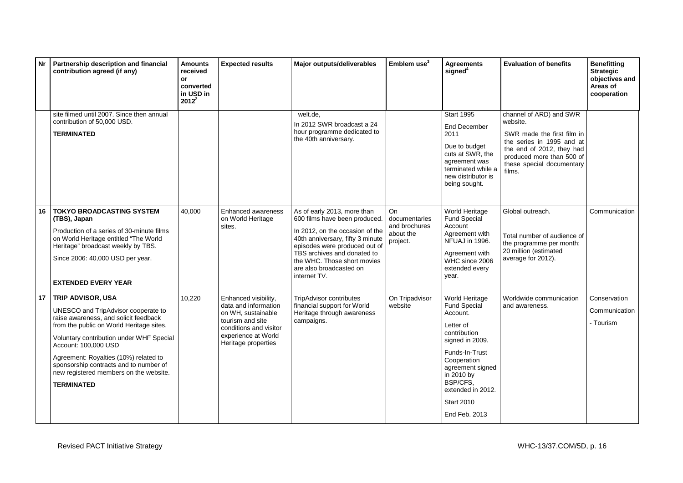| <b>Nr</b> | Partnership description and financial<br>contribution agreed (if any)                                                                                                                                                                                                                                                                                               | <b>Amounts</b><br>received<br>or<br>converted<br>in USD in<br>$2012^2$ | <b>Expected results</b>                                                                                                                                        | Major outputs/deliverables                                                                                                                                                                                                                                                    | Emblem use <sup>3</sup>                                       | <b>Agreements</b><br>signed <sup>4</sup>                                                                                                                                                                                                    | <b>Evaluation of benefits</b>                                                                                                                                                                   | <b>Benefitting</b><br><b>Strategic</b><br>objectives and<br>Areas of<br>cooperation |
|-----------|---------------------------------------------------------------------------------------------------------------------------------------------------------------------------------------------------------------------------------------------------------------------------------------------------------------------------------------------------------------------|------------------------------------------------------------------------|----------------------------------------------------------------------------------------------------------------------------------------------------------------|-------------------------------------------------------------------------------------------------------------------------------------------------------------------------------------------------------------------------------------------------------------------------------|---------------------------------------------------------------|---------------------------------------------------------------------------------------------------------------------------------------------------------------------------------------------------------------------------------------------|-------------------------------------------------------------------------------------------------------------------------------------------------------------------------------------------------|-------------------------------------------------------------------------------------|
|           | site filmed until 2007. Since then annual<br>contribution of 50,000 USD.<br><b>TERMINATED</b>                                                                                                                                                                                                                                                                       |                                                                        |                                                                                                                                                                | welt.de.<br>In 2012 SWR broadcast a 24<br>hour programme dedicated to<br>the 40th anniversary.                                                                                                                                                                                |                                                               | <b>Start 1995</b><br>End December<br>2011<br>Due to budget<br>cuts at SWR, the<br>agreement was<br>terminated while a<br>new distributor is<br>being sought.                                                                                | channel of ARD) and SWR<br>website.<br>SWR made the first film in<br>the series in 1995 and at<br>the end of 2012, they had<br>produced more than 500 of<br>these special documentary<br>films. |                                                                                     |
| 16        | <b>TOKYO BROADCASTING SYSTEM</b><br>(TBS), Japan<br>Production of a series of 30-minute films<br>on World Heritage entitled "The World<br>Heritage" broadcast weekly by TBS.<br>Since 2006: 40,000 USD per year.<br><b>EXTENDED EVERY YEAR</b>                                                                                                                      | 40,000                                                                 | Enhanced awareness<br>on World Heritage<br>sites.                                                                                                              | As of early 2013, more than<br>600 films have been produced.<br>In 2012, on the occasion of the<br>40th anniversary, fifty 3 minute<br>episodes were produced out of<br>TBS archives and donated to<br>the WHC. Those short movies<br>are also broadcasted on<br>internet TV. | On<br>documentaries<br>and brochures<br>about the<br>project. | World Heritage<br>Fund Special<br>Account<br>Agreement with<br>NFUAJ in 1996.<br>Agreement with<br>WHC since 2006<br>extended every<br>year.                                                                                                | Global outreach.<br>Total number of audience of<br>the programme per month:<br>20 million (estimated<br>average for 2012).                                                                      | Communication                                                                       |
| 17        | TRIP ADVISOR, USA<br>UNESCO and TripAdvisor cooperate to<br>raise awareness, and solicit feedback<br>from the public on World Heritage sites.<br>Voluntary contribution under WHF Special<br>Account: 100,000 USD<br>Agreement: Royalties (10%) related to<br>sponsorship contracts and to number of<br>new registered members on the website.<br><b>TERMINATED</b> | 10,220                                                                 | Enhanced visibility,<br>data and information<br>on WH, sustainable<br>tourism and site<br>conditions and visitor<br>experience at World<br>Heritage properties | <b>TripAdvisor contributes</b><br>financial support for World<br>Heritage through awareness<br>campaigns.                                                                                                                                                                     | On Tripadvisor<br>website                                     | World Heritage<br><b>Fund Special</b><br>Account.<br>Letter of<br>contribution<br>signed in 2009.<br>Funds-In-Trust<br>Cooperation<br>agreement signed<br>in 2010 by<br>BSP/CFS.<br>extended in 2012.<br><b>Start 2010</b><br>End Feb. 2013 | Worldwide communication<br>and awareness.                                                                                                                                                       | Conservation<br>Communication<br>- Tourism                                          |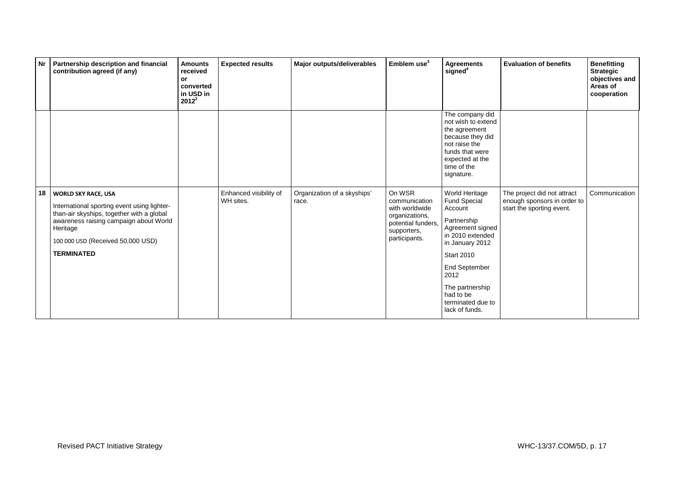| Nr | Partnership description and financial<br>contribution agreed (if any)                                                                                                                                                                  | <b>Amounts</b><br>received<br>or<br>converted<br>in USD in<br>$2012^2$ | <b>Expected results</b>             | Major outputs/deliverables           | Emblem use <sup>3</sup>                                                                                           | <b>Agreements</b><br>signed <sup>4</sup>                                                                                                                                                                                                        | <b>Evaluation of benefits</b>                                                           | <b>Benefitting</b><br><b>Strategic</b><br>objectives and<br>Areas of<br>cooperation |
|----|----------------------------------------------------------------------------------------------------------------------------------------------------------------------------------------------------------------------------------------|------------------------------------------------------------------------|-------------------------------------|--------------------------------------|-------------------------------------------------------------------------------------------------------------------|-------------------------------------------------------------------------------------------------------------------------------------------------------------------------------------------------------------------------------------------------|-----------------------------------------------------------------------------------------|-------------------------------------------------------------------------------------|
|    |                                                                                                                                                                                                                                        |                                                                        |                                     |                                      |                                                                                                                   | The company did<br>not wish to extend<br>the agreement<br>because they did<br>not raise the<br>funds that were<br>expected at the<br>time of the<br>signature.                                                                                  |                                                                                         |                                                                                     |
| 18 | <b>WORLD SKY RACE, USA</b><br>International sporting event using lighter-<br>than-air skyships, together with a global<br>awareness raising campaign about World<br>Heritage<br>100 000 USD (Received 50,000 USD)<br><b>TERMINATED</b> |                                                                        | Enhanced visibility of<br>WH sites. | Organization of a skyships'<br>race. | On WSR<br>communication<br>with worldwide<br>organizations,<br>potential funders,<br>supporters,<br>participants. | World Heritage<br><b>Fund Special</b><br>Account<br>Partnership<br>Agreement signed<br>in 2010 extended<br>in January 2012<br><b>Start 2010</b><br>End September<br>2012<br>The partnership<br>had to be<br>terminated due to<br>lack of funds. | The project did not attract<br>enough sponsors in order to<br>start the sporting event. | Communication                                                                       |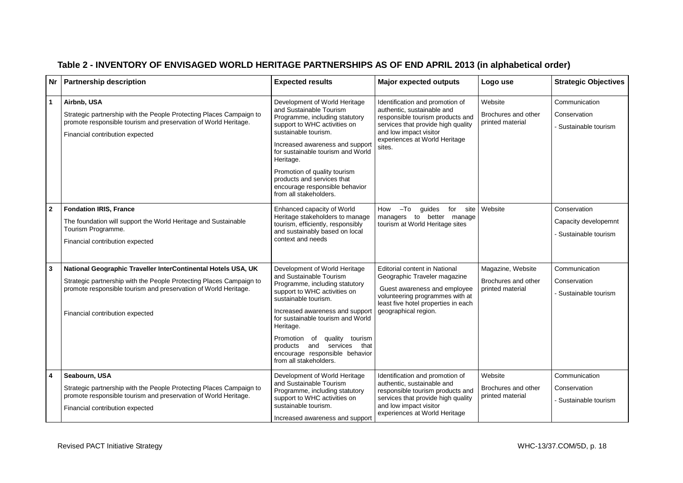|                | Nr   Partnership description                                                                                                                                                                                                               | <b>Expected results</b>                                                                                                                                                                                                                                                                                                                                                 | <b>Major expected outputs</b>                                                                                                                                                                                | Logo use                                                     | <b>Strategic Objectives</b>                                 |
|----------------|--------------------------------------------------------------------------------------------------------------------------------------------------------------------------------------------------------------------------------------------|-------------------------------------------------------------------------------------------------------------------------------------------------------------------------------------------------------------------------------------------------------------------------------------------------------------------------------------------------------------------------|--------------------------------------------------------------------------------------------------------------------------------------------------------------------------------------------------------------|--------------------------------------------------------------|-------------------------------------------------------------|
| $\vert$ 1      | Airbnb, USA<br>Strategic partnership with the People Protecting Places Campaign to<br>promote responsible tourism and preservation of World Heritage.<br>Financial contribution expected                                                   | Development of World Heritage<br>and Sustainable Tourism<br>Programme, including statutory<br>support to WHC activities on<br>sustainable tourism.<br>Increased awareness and support<br>for sustainable tourism and World<br>Heritage.<br>Promotion of quality tourism<br>products and services that<br>encourage responsible behavior<br>from all stakeholders.       | Identification and promotion of<br>authentic, sustainable and<br>responsible tourism products and<br>services that provide high quality<br>and low impact visitor<br>experiences at World Heritage<br>sites. | Website<br>Brochures and other<br>printed material           | Communication<br>Conservation<br>Sustainable tourism        |
| $\overline{2}$ | <b>Fondation IRIS, France</b><br>The foundation will support the World Heritage and Sustainable<br>Tourism Programme.<br>Financial contribution expected                                                                                   | Enhanced capacity of World<br>Heritage stakeholders to manage<br>tourism, efficiently, responsibly<br>and sustainably based on local<br>context and needs                                                                                                                                                                                                               | How -To guides<br>for site<br>managers to better manage<br>tourism at World Heritage sites                                                                                                                   | Website                                                      | Conservation<br>Capacity developemnt<br>Sustainable tourism |
| $\overline{3}$ | National Geographic Traveller InterContinental Hotels USA, UK<br>Strategic partnership with the People Protecting Places Campaign to<br>promote responsible tourism and preservation of World Heritage.<br>Financial contribution expected | Development of World Heritage<br>and Sustainable Tourism<br>Programme, including statutory<br>support to WHC activities on<br>sustainable tourism.<br>Increased awareness and support<br>for sustainable tourism and World<br>Heritage.<br>quality tourism<br>Promotion<br>of<br>products and services that<br>encourage responsible behavior<br>from all stakeholders. | <b>Editorial content in National</b><br>Geographic Traveler magazine<br>Guest awareness and employee<br>volunteering programmes with at<br>least five hotel properties in each<br>geographical region.       | Magazine, Website<br>Brochures and other<br>printed material | Communication<br>Conservation<br>- Sustainable tourism      |
| $\overline{4}$ | Seabourn, USA<br>Strategic partnership with the People Protecting Places Campaign to<br>promote responsible tourism and preservation of World Heritage.<br>Financial contribution expected                                                 | Development of World Heritage<br>and Sustainable Tourism<br>Programme, including statutory<br>support to WHC activities on<br>sustainable tourism.<br>Increased awareness and support                                                                                                                                                                                   | Identification and promotion of<br>authentic, sustainable and<br>responsible tourism products and<br>services that provide high quality<br>and low impact visitor<br>experiences at World Heritage           | Website<br>Brochures and other<br>printed material           | Communication<br>Conservation<br>Sustainable tourism        |

# **Table 2 - INVENTORY OF ENVISAGED WORLD HERITAGE PARTNERSHIPS AS OF END APRIL 2013 (in alphabetical order)**